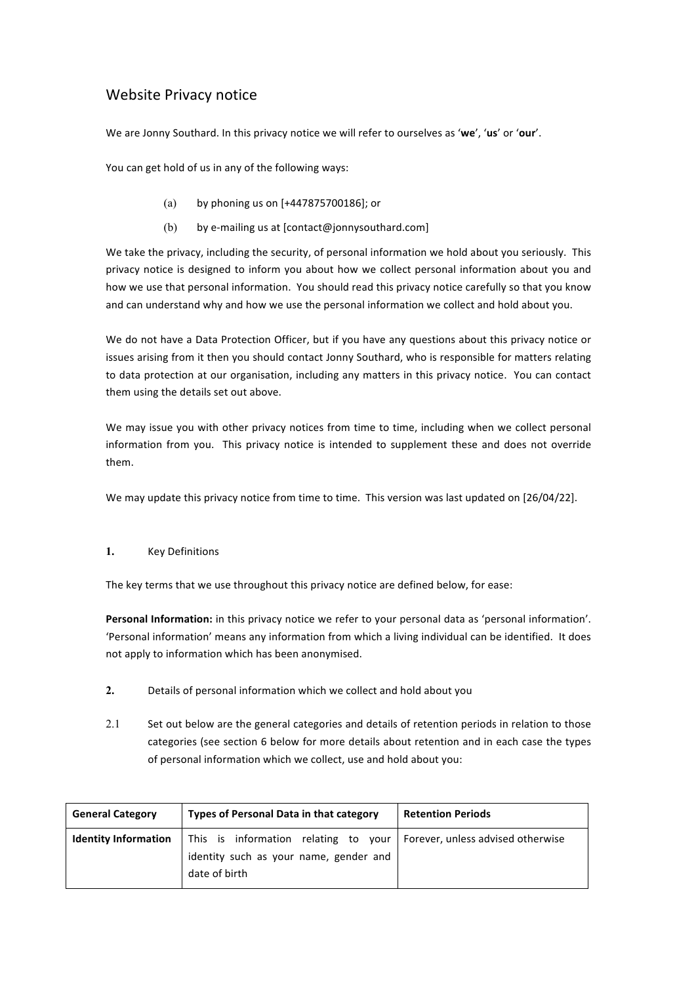# Website Privacy notice

We are Jonny Southard. In this privacy notice we will refer to ourselves as 'we', 'us' or 'our'.

You can get hold of us in any of the following ways:

- (a) by phoning us on  $[+447875700186]$ ; or
- (b) by e-mailing us at  $[contact@jonnysouthard.com]$

We take the privacy, including the security, of personal information we hold about you seriously. This privacy notice is designed to inform you about how we collect personal information about you and how we use that personal information. You should read this privacy notice carefully so that you know and can understand why and how we use the personal information we collect and hold about you.

We do not have a Data Protection Officer, but if you have any questions about this privacy notice or issues arising from it then you should contact Jonny Southard, who is responsible for matters relating to data protection at our organisation, including any matters in this privacy notice. You can contact them using the details set out above.

We may issue you with other privacy notices from time to time, including when we collect personal information from you. This privacy notice is intended to supplement these and does not override them.

We may update this privacy notice from time to time. This version was last updated on [26/04/22].

## **1.** Key Definitions

The key terms that we use throughout this privacy notice are defined below, for ease:

Personal Information: in this privacy notice we refer to your personal data as 'personal information'. 'Personal information' means any information from which a living individual can be identified. It does not apply to information which has been anonymised.

- **2.** Details of personal information which we collect and hold about you
- 2.1 Set out below are the general categories and details of retention periods in relation to those categories (see section 6 below for more details about retention and in each case the types of personal information which we collect, use and hold about you:

| <b>General Category</b>     | <b>Types of Personal Data in that category</b>                                                                                      | <b>Retention Periods</b> |
|-----------------------------|-------------------------------------------------------------------------------------------------------------------------------------|--------------------------|
| <b>Identity Information</b> | This is information relating to your   Forever, unless advised otherwise<br>identity such as your name, gender and<br>date of birth |                          |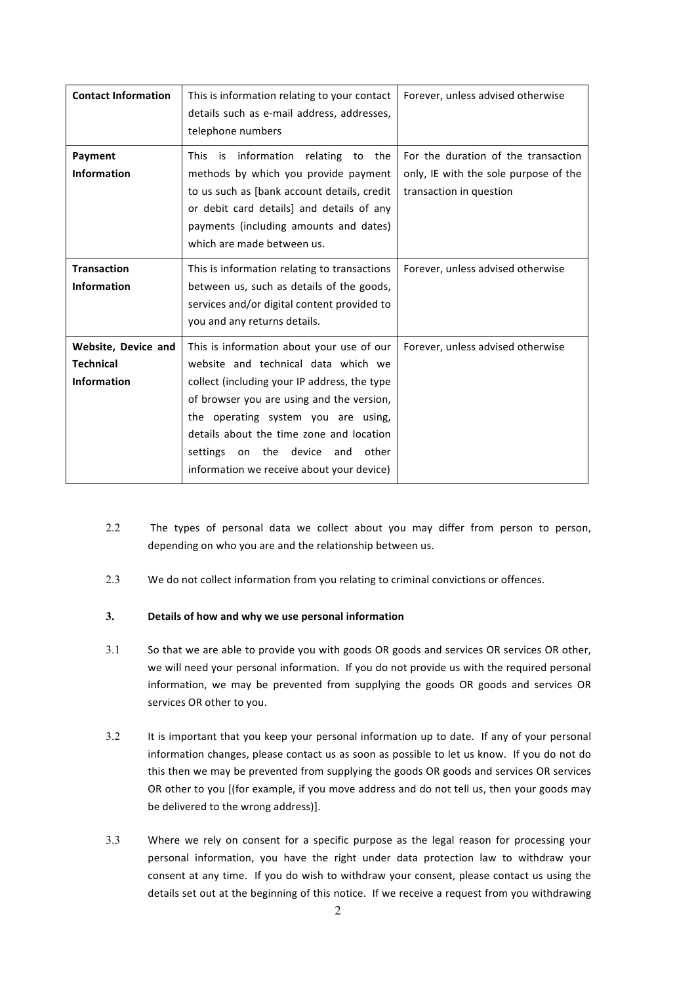| <b>Contact Information</b>                                    | This is information relating to your contact<br>details such as e-mail address, addresses,<br>telephone numbers                                                                                                                                                                                                                                               | Forever, unless advised otherwise                                                                       |
|---------------------------------------------------------------|---------------------------------------------------------------------------------------------------------------------------------------------------------------------------------------------------------------------------------------------------------------------------------------------------------------------------------------------------------------|---------------------------------------------------------------------------------------------------------|
| Payment<br><b>Information</b>                                 | information<br>relating to the<br>This is<br>methods by which you provide payment<br>to us such as [bank account details, credit<br>or debit card details] and details of any<br>payments (including amounts and dates)<br>which are made between us.                                                                                                         | For the duration of the transaction<br>only, IE with the sole purpose of the<br>transaction in question |
| <b>Transaction</b><br><b>Information</b>                      | This is information relating to transactions<br>between us, such as details of the goods,<br>services and/or digital content provided to<br>you and any returns details.                                                                                                                                                                                      | Forever, unless advised otherwise                                                                       |
| Website, Device and<br><b>Technical</b><br><b>Information</b> | This is information about your use of our<br>website and technical data which we<br>collect (including your IP address, the type<br>of browser you are using and the version,<br>the operating system you are using,<br>details about the time zone and location<br>other<br>settings<br>on the<br>device<br>and<br>information we receive about your device) | Forever, unless advised otherwise                                                                       |

- 2.2 The types of personal data we collect about you may differ from person to person, depending on who you are and the relationship between us.
- 2.3 We do not collect information from you relating to criminal convictions or offences.

## **3.** Details of how and why we use personal information

- 3.1 So that we are able to provide you with goods OR goods and services OR services OR other, we will need your personal information. If you do not provide us with the required personal information, we may be prevented from supplying the goods OR goods and services OR services OR other to you.
- 3.2 It is important that you keep your personal information up to date. If any of your personal information changes, please contact us as soon as possible to let us know. If you do not do this then we may be prevented from supplying the goods OR goods and services OR services OR other to you [(for example, if you move address and do not tell us, then your goods may be delivered to the wrong address)].
- 3.3 Where we rely on consent for a specific purpose as the legal reason for processing your personal information, you have the right under data protection law to withdraw your consent at any time. If you do wish to withdraw your consent, please contact us using the details set out at the beginning of this notice. If we receive a request from you withdrawing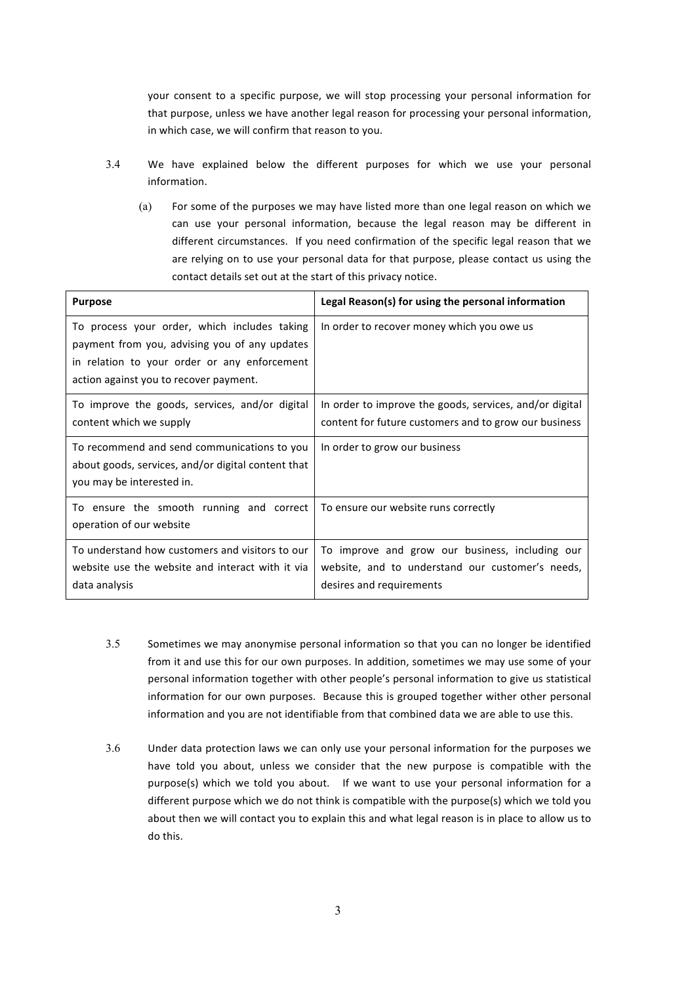your consent to a specific purpose, we will stop processing your personal information for that purpose, unless we have another legal reason for processing your personal information, in which case, we will confirm that reason to you.

- 3.4 We have explained below the different purposes for which we use your personal information.
	- (a) For some of the purposes we may have listed more than one legal reason on which we can use your personal information, because the legal reason may be different in different circumstances. If you need confirmation of the specific legal reason that we are relying on to use your personal data for that purpose, please contact us using the contact details set out at the start of this privacy notice.

| <b>Purpose</b>                                                                                                                                                                          | Legal Reason(s) for using the personal information                                                                              |
|-----------------------------------------------------------------------------------------------------------------------------------------------------------------------------------------|---------------------------------------------------------------------------------------------------------------------------------|
| To process your order, which includes taking<br>payment from you, advising you of any updates<br>in relation to your order or any enforcement<br>action against you to recover payment. | In order to recover money which you owe us                                                                                      |
| To improve the goods, services, and/or digital<br>content which we supply                                                                                                               | In order to improve the goods, services, and/or digital<br>content for future customers and to grow our business                |
| To recommend and send communications to you<br>about goods, services, and/or digital content that<br>you may be interested in.                                                          | In order to grow our business                                                                                                   |
| To ensure the smooth running and correct<br>operation of our website                                                                                                                    | To ensure our website runs correctly                                                                                            |
| To understand how customers and visitors to our<br>website use the website and interact with it via<br>data analysis                                                                    | To improve and grow our business, including our<br>website, and to understand our customer's needs,<br>desires and requirements |

- 3.5 Sometimes we may anonymise personal information so that you can no longer be identified from it and use this for our own purposes. In addition, sometimes we may use some of your personal information together with other people's personal information to give us statistical information for our own purposes. Because this is grouped together wither other personal information and you are not identifiable from that combined data we are able to use this.
- 3.6 Under data protection laws we can only use your personal information for the purposes we have told you about, unless we consider that the new purpose is compatible with the purpose(s) which we told you about. If we want to use your personal information for a different purpose which we do not think is compatible with the purpose(s) which we told you about then we will contact you to explain this and what legal reason is in place to allow us to do this.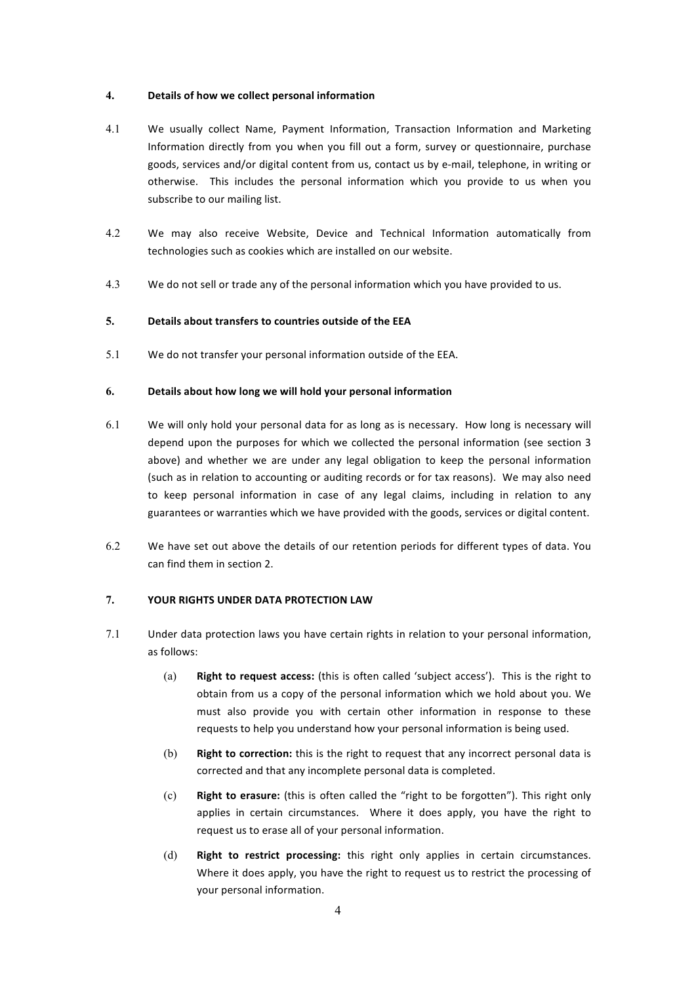#### **4.** Details of how we collect personal information

- 4.1 We usually collect Name, Payment Information, Transaction Information and Marketing Information directly from you when you fill out a form, survey or questionnaire, purchase goods, services and/or digital content from us, contact us by e-mail, telephone, in writing or otherwise. This includes the personal information which you provide to us when you subscribe to our mailing list.
- 4.2 We may also receive Website, Device and Technical Information automatically from technologies such as cookies which are installed on our website.
- 4.3 We do not sell or trade any of the personal information which you have provided to us.

## **5. Details about transfers to countries outside of the EEA**

5.1 We do not transfer your personal information outside of the EEA.

#### **6. Details about how long we will hold your personal information**

- $6.1$  We will only hold your personal data for as long as is necessary. How long is necessary will depend upon the purposes for which we collected the personal information (see section 3 above) and whether we are under any legal obligation to keep the personal information (such as in relation to accounting or auditing records or for tax reasons). We may also need to keep personal information in case of any legal claims, including in relation to any guarantees or warranties which we have provided with the goods, services or digital content.
- 6.2 We have set out above the details of our retention periods for different types of data. You can find them in section 2.

#### **7. YOUR RIGHTS UNDER DATA PROTECTION LAW**

- 7.1 Under data protection laws you have certain rights in relation to your personal information, as follows:
	- (a) **Right to request access:** (this is often called 'subject access'). This is the right to obtain from us a copy of the personal information which we hold about you. We must also provide you with certain other information in response to these requests to help you understand how your personal information is being used.
	- (b) **Right to correction:** this is the right to request that any incorrect personal data is corrected and that any incomplete personal data is completed.
	- (c) **Right to erasure:** (this is often called the "right to be forgotten"). This right only applies in certain circumstances. Where it does apply, you have the right to request us to erase all of your personal information.
	- (d) **Right to restrict processing:** this right only applies in certain circumstances. Where it does apply, you have the right to request us to restrict the processing of your personal information.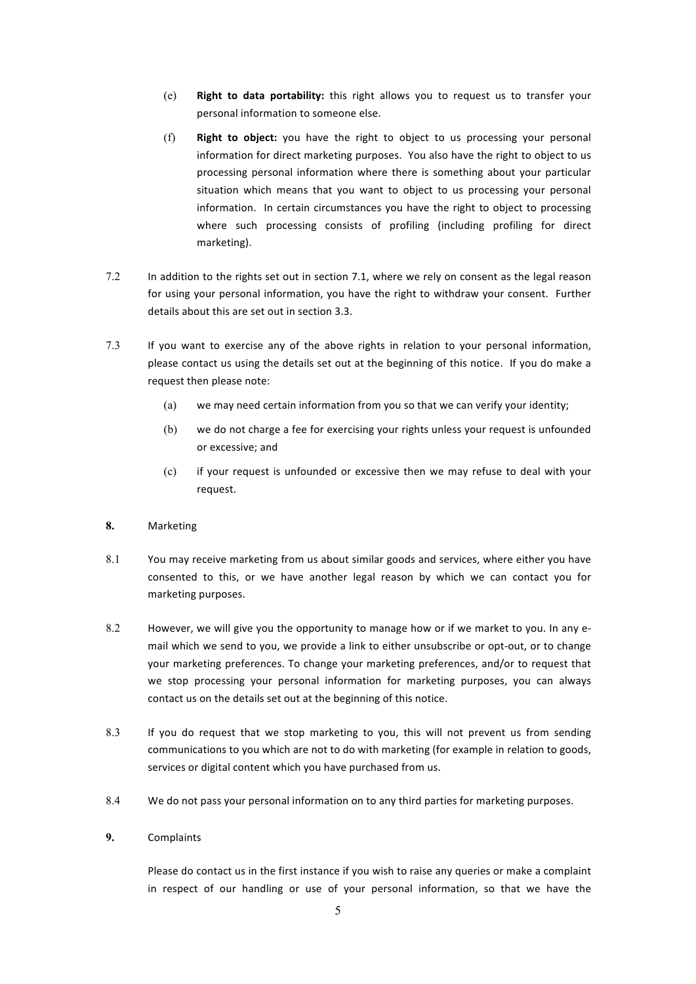- (e) Right to data portability: this right allows you to request us to transfer your personal information to someone else.
- (f) **Right to object:** you have the right to object to us processing your personal information for direct marketing purposes. You also have the right to object to us processing personal information where there is something about your particular situation which means that you want to object to us processing your personal information. In certain circumstances you have the right to object to processing where such processing consists of profiling (including profiling for direct marketing).
- 7.2 In addition to the rights set out in section 7.1, where we rely on consent as the legal reason for using your personal information, you have the right to withdraw your consent. Further details about this are set out in section 3.3.
- 7.3 If you want to exercise any of the above rights in relation to your personal information, please contact us using the details set out at the beginning of this notice. If you do make a request then please note:
	- (a) we may need certain information from you so that we can verify your identity;
	- (b) we do not charge a fee for exercising your rights unless your request is unfounded or excessive; and
	- (c) if your request is unfounded or excessive then we may refuse to deal with your request.

#### **8.** Marketing

- 8.1 You may receive marketing from us about similar goods and services, where either you have consented to this, or we have another legal reason by which we can contact you for marketing purposes.
- 8.2 However, we will give you the opportunity to manage how or if we market to you. In any email which we send to you, we provide a link to either unsubscribe or opt-out, or to change your marketing preferences. To change your marketing preferences, and/or to request that we stop processing your personal information for marketing purposes, you can always contact us on the details set out at the beginning of this notice.
- 8.3 If you do request that we stop marketing to you, this will not prevent us from sending communications to you which are not to do with marketing (for example in relation to goods, services or digital content which you have purchased from us.
- 8.4 We do not pass your personal information on to any third parties for marketing purposes.

#### **9.** Complaints

Please do contact us in the first instance if you wish to raise any queries or make a complaint in respect of our handling or use of your personal information, so that we have the